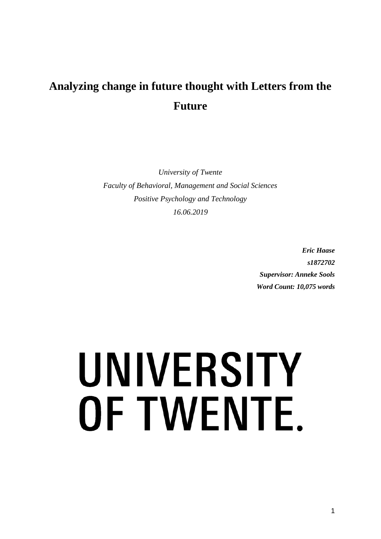# **Analyzing change in future thought with Letters from the Future**

*University of Twente Faculty of Behavioral, Management and Social Sciences Positive Psychology and Technology 16.06.2019*

> *Eric Haase s1872702 Supervisor: Anneke Sools Word Count: 10,075 words*

# UNIVERSITY OF TWENTE.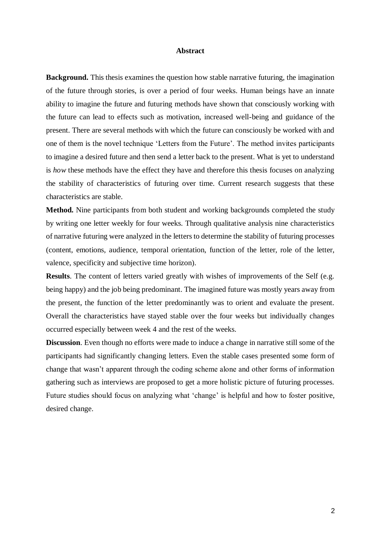#### **Abstract**

**Background.** This thesis examines the question how stable narrative futuring, the imagination of the future through stories, is over a period of four weeks. Human beings have an innate ability to imagine the future and futuring methods have shown that consciously working with the future can lead to effects such as motivation, increased well-being and guidance of the present. There are several methods with which the future can consciously be worked with and one of them is the novel technique 'Letters from the Future'. The method invites participants to imagine a desired future and then send a letter back to the present. What is yet to understand is *how* these methods have the effect they have and therefore this thesis focuses on analyzing the stability of characteristics of futuring over time. Current research suggests that these characteristics are stable.

**Method.** Nine participants from both student and working backgrounds completed the study by writing one letter weekly for four weeks. Through qualitative analysis nine characteristics of narrative futuring were analyzed in the letters to determine the stability of futuring processes (content, emotions, audience, temporal orientation, function of the letter, role of the letter, valence, specificity and subjective time horizon).

**Results**. The content of letters varied greatly with wishes of improvements of the Self (e.g. being happy) and the job being predominant. The imagined future was mostly years away from the present, the function of the letter predominantly was to orient and evaluate the present. Overall the characteristics have stayed stable over the four weeks but individually changes occurred especially between week 4 and the rest of the weeks.

**Discussion**. Even though no efforts were made to induce a change in narrative still some of the participants had significantly changing letters. Even the stable cases presented some form of change that wasn't apparent through the coding scheme alone and other forms of information gathering such as interviews are proposed to get a more holistic picture of futuring processes. Future studies should focus on analyzing what 'change' is helpful and how to foster positive, desired change.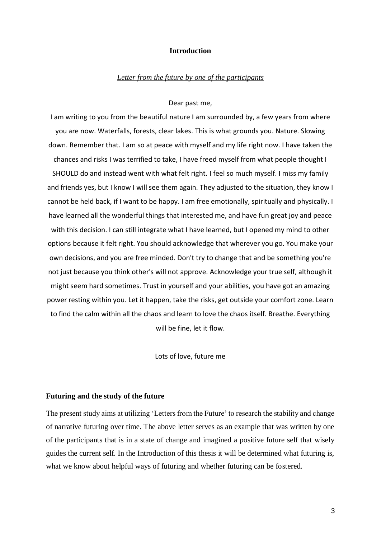#### **Introduction**

#### *Letter from the future by one of the participants*

#### Dear past me,

I am writing to you from the beautiful nature I am surrounded by, a few years from where you are now. Waterfalls, forests, clear lakes. This is what grounds you. Nature. Slowing down. Remember that. I am so at peace with myself and my life right now. I have taken the chances and risks I was terrified to take, I have freed myself from what people thought I SHOULD do and instead went with what felt right. I feel so much myself. I miss my family and friends yes, but I know I will see them again. They adjusted to the situation, they know I cannot be held back, if I want to be happy. I am free emotionally, spiritually and physically. I have learned all the wonderful things that interested me, and have fun great joy and peace with this decision. I can still integrate what I have learned, but I opened my mind to other options because it felt right. You should acknowledge that wherever you go. You make your own decisions, and you are free minded. Don't try to change that and be something you're not just because you think other's will not approve. Acknowledge your true self, although it might seem hard sometimes. Trust in yourself and your abilities, you have got an amazing power resting within you. Let it happen, take the risks, get outside your comfort zone. Learn to find the calm within all the chaos and learn to love the chaos itself. Breathe. Everything will be fine, let it flow.

Lots of love, future me

#### **Futuring and the study of the future**

The present study aims at utilizing 'Letters from the Future' to research the stability and change of narrative futuring over time. The above letter serves as an example that was written by one of the participants that is in a state of change and imagined a positive future self that wisely guides the current self. In the Introduction of this thesis it will be determined what futuring is, what we know about helpful ways of futuring and whether futuring can be fostered.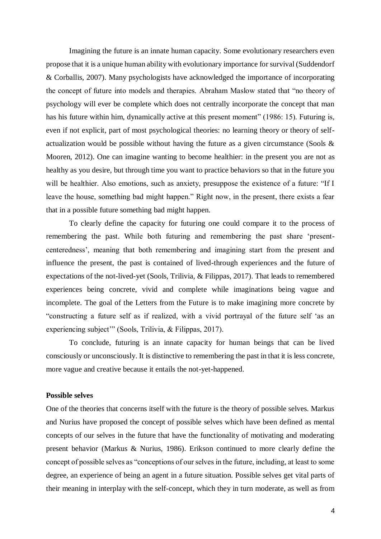Imagining the future is an innate human capacity. Some evolutionary researchers even propose that it is a unique human ability with evolutionary importance for survival (Suddendorf & Corballis, 2007). Many psychologists have acknowledged the importance of incorporating the concept of future into models and therapies. Abraham Maslow stated that "no theory of psychology will ever be complete which does not centrally incorporate the concept that man has his future within him, dynamically active at this present moment" (1986: 15). Futuring is, even if not explicit, part of most psychological theories: no learning theory or theory of selfactualization would be possible without having the future as a given circumstance (Sools & Mooren, 2012). One can imagine wanting to become healthier: in the present you are not as healthy as you desire, but through time you want to practice behaviors so that in the future you will be healthier. Also emotions, such as anxiety, presuppose the existence of a future: "If I leave the house, something bad might happen." Right now, in the present, there exists a fear that in a possible future something bad might happen.

To clearly define the capacity for futuring one could compare it to the process of remembering the past. While both futuring and remembering the past share 'presentcenteredness', meaning that both remembering and imagining start from the present and influence the present, the past is contained of lived-through experiences and the future of expectations of the not-lived-yet (Sools, Trilivia, & Filippas, 2017). That leads to remembered experiences being concrete, vivid and complete while imaginations being vague and incomplete. The goal of the Letters from the Future is to make imagining more concrete by "constructing a future self as if realized, with a vivid portrayal of the future self 'as an experiencing subject'" (Sools, Trilivia, & Filippas, 2017).

To conclude, futuring is an innate capacity for human beings that can be lived consciously or unconsciously. It is distinctive to remembering the past in that it is less concrete, more vague and creative because it entails the not-yet-happened.

#### **Possible selves**

One of the theories that concerns itself with the future is the theory of possible selves. Markus and Nurius have proposed the concept of possible selves which have been defined as mental concepts of our selves in the future that have the functionality of motivating and moderating present behavior (Markus & Nurius, 1986). Erikson continued to more clearly define the concept of possible selves as "conceptions of our selves in the future, including, at least to some degree, an experience of being an agent in a future situation. Possible selves get vital parts of their meaning in interplay with the self-concept, which they in turn moderate, as well as from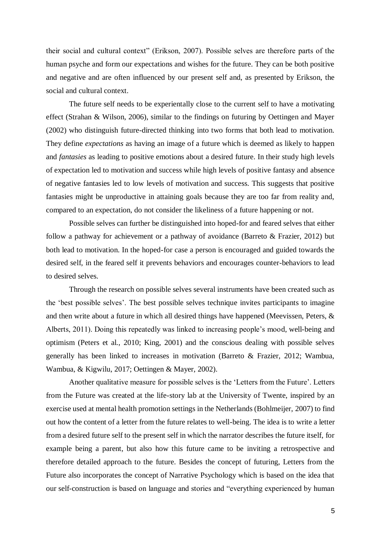their social and cultural context" (Erikson, 2007). Possible selves are therefore parts of the human psyche and form our expectations and wishes for the future. They can be both positive and negative and are often influenced by our present self and, as presented by Erikson, the social and cultural context.

The future self needs to be experientally close to the current self to have a motivating effect (Strahan & Wilson, 2006), similar to the findings on futuring by Oettingen and Mayer (2002) who distinguish future-directed thinking into two forms that both lead to motivation. They define *expectations* as having an image of a future which is deemed as likely to happen and *fantasies* as leading to positive emotions about a desired future. In their study high levels of expectation led to motivation and success while high levels of positive fantasy and absence of negative fantasies led to low levels of motivation and success. This suggests that positive fantasies might be unproductive in attaining goals because they are too far from reality and, compared to an expectation, do not consider the likeliness of a future happening or not.

Possible selves can further be distinguished into hoped-for and feared selves that either follow a pathway for achievement or a pathway of avoidance (Barreto & Frazier, 2012) but both lead to motivation. In the hoped-for case a person is encouraged and guided towards the desired self, in the feared self it prevents behaviors and encourages counter-behaviors to lead to desired selves.

Through the research on possible selves several instruments have been created such as the 'best possible selves'. The best possible selves technique invites participants to imagine and then write about a future in which all desired things have happened (Meevissen, Peters, & Alberts, 2011). Doing this repeatedly was linked to increasing people's mood, well-being and optimism (Peters et al., 2010; King, 2001) and the conscious dealing with possible selves generally has been linked to increases in motivation (Barreto & Frazier, 2012; Wambua, Wambua, & Kigwilu, 2017; Oettingen & Mayer, 2002).

Another qualitative measure for possible selves is the 'Letters from the Future'. Letters from the Future was created at the life-story lab at the University of Twente, inspired by an exercise used at mental health promotion settings in the Netherlands (Bohlmeijer, 2007) to find out how the content of a letter from the future relates to well-being. The idea is to write a letter from a desired future self to the present self in which the narrator describes the future itself, for example being a parent, but also how this future came to be inviting a retrospective and therefore detailed approach to the future. Besides the concept of futuring, Letters from the Future also incorporates the concept of Narrative Psychology which is based on the idea that our self-construction is based on language and stories and "everything experienced by human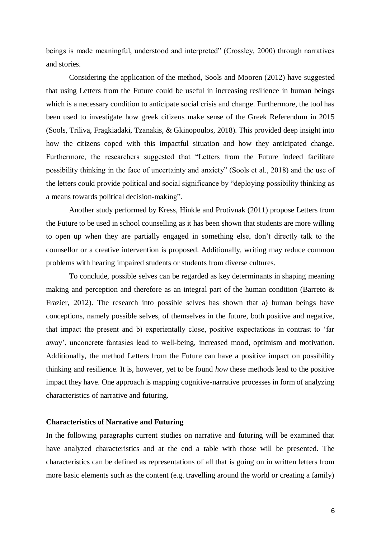beings is made meaningful, understood and interpreted" (Crossley, 2000) through narratives and stories.

Considering the application of the method, Sools and Mooren (2012) have suggested that using Letters from the Future could be useful in increasing resilience in human beings which is a necessary condition to anticipate social crisis and change. Furthermore, the tool has been used to investigate how greek citizens make sense of the Greek Referendum in 2015 (Sools, Triliva, Fragkiadaki, Tzanakis, & Gkinopoulos, 2018). This provided deep insight into how the citizens coped with this impactful situation and how they anticipated change. Furthermore, the researchers suggested that "Letters from the Future indeed facilitate possibility thinking in the face of uncertainty and anxiety" (Sools et al., 2018) and the use of the letters could provide political and social significance by "deploying possibility thinking as a means towards political decision-making".

Another study performed by Kress, Hinkle and Protivnak (2011) propose Letters from the Future to be used in school counselling as it has been shown that students are more willing to open up when they are partially engaged in something else, don't directly talk to the counsellor or a creative intervention is proposed. Additionally, writing may reduce common problems with hearing impaired students or students from diverse cultures.

To conclude, possible selves can be regarded as key determinants in shaping meaning making and perception and therefore as an integral part of the human condition (Barreto & Frazier, 2012). The research into possible selves has shown that a) human beings have conceptions, namely possible selves, of themselves in the future, both positive and negative, that impact the present and b) experientally close, positive expectations in contrast to 'far away', unconcrete fantasies lead to well-being, increased mood, optimism and motivation. Additionally, the method Letters from the Future can have a positive impact on possibility thinking and resilience. It is, however, yet to be found *how* these methods lead to the positive impact they have. One approach is mapping cognitive-narrative processes in form of analyzing characteristics of narrative and futuring.

#### **Characteristics of Narrative and Futuring**

In the following paragraphs current studies on narrative and futuring will be examined that have analyzed characteristics and at the end a table with those will be presented. The characteristics can be defined as representations of all that is going on in written letters from more basic elements such as the content (e.g. travelling around the world or creating a family)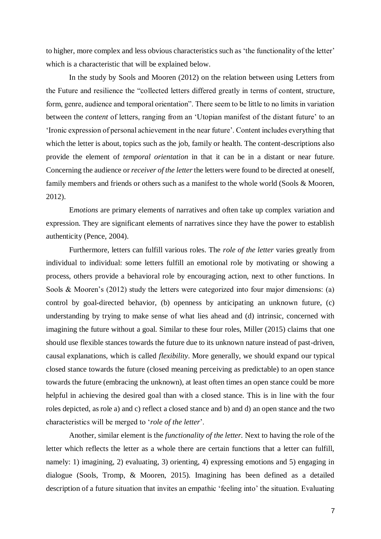to higher, more complex and less obvious characteristics such as 'the functionality of the letter' which is a characteristic that will be explained below.

In the study by Sools and Mooren (2012) on the relation between using Letters from the Future and resilience the "collected letters differed greatly in terms of content, structure, form, genre, audience and temporal orientation". There seem to be little to no limits in variation between the *content* of letters, ranging from an 'Utopian manifest of the distant future' to an 'Ironic expression of personal achievement in the near future'. Content includes everything that which the letter is about, topics such as the job, family or health. The content-descriptions also provide the element of *temporal orientation* in that it can be in a distant or near future. Concerning the audience or *receiver of the letter*the letters were found to be directed at oneself, family members and friends or others such as a manifest to the whole world (Sools & Mooren, 2012).

E*motions* are primary elements of narratives and often take up complex variation and expression. They are significant elements of narratives since they have the power to establish authenticity (Pence, 2004).

Furthermore, letters can fulfill various roles. The *role of the letter* varies greatly from individual to individual: some letters fulfill an emotional role by motivating or showing a process, others provide a behavioral role by encouraging action, next to other functions. In Sools & Mooren's (2012) study the letters were categorized into four major dimensions: (a) control by goal-directed behavior, (b) openness by anticipating an unknown future, (c) understanding by trying to make sense of what lies ahead and (d) intrinsic, concerned with imagining the future without a goal. Similar to these four roles, Miller (2015) claims that one should use flexible stances towards the future due to its unknown nature instead of past-driven, causal explanations, which is called *flexibility*. More generally, we should expand our typical closed stance towards the future (closed meaning perceiving as predictable) to an open stance towards the future (embracing the unknown), at least often times an open stance could be more helpful in achieving the desired goal than with a closed stance. This is in line with the four roles depicted, as role a) and c) reflect a closed stance and b) and d) an open stance and the two characteristics will be merged to '*role of the letter*'.

Another, similar element is the *functionality of the letter.* Next to having the role of the letter which reflects the letter as a whole there are certain functions that a letter can fulfill, namely: 1) imagining, 2) evaluating, 3) orienting, 4) expressing emotions and 5) engaging in dialogue (Sools, Tromp, & Mooren, 2015). Imagining has been defined as a detailed description of a future situation that invites an empathic 'feeling into' the situation. Evaluating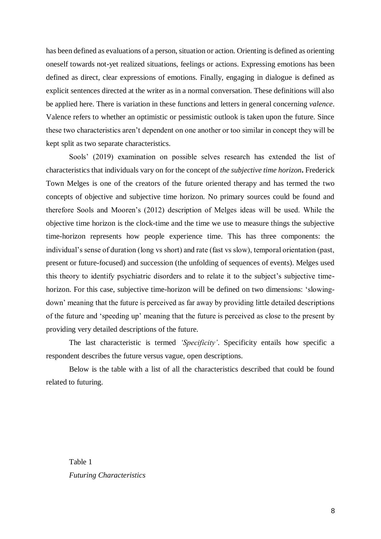has been defined as evaluations of a person, situation or action. Orienting is defined as orienting oneself towards not-yet realized situations, feelings or actions. Expressing emotions has been defined as direct, clear expressions of emotions. Finally, engaging in dialogue is defined as explicit sentences directed at the writer as in a normal conversation. These definitions will also be applied here. There is variation in these functions and letters in general concerning *valence*. Valence refers to whether an optimistic or pessimistic outlook is taken upon the future. Since these two characteristics aren't dependent on one another or too similar in concept they will be kept split as two separate characteristics.

Sools' (2019) examination on possible selves research has extended the list of characteristics that individuals vary on for the concept of *the subjective time horizon***.** Frederick Town Melges is one of the creators of the future oriented therapy and has termed the two concepts of objective and subjective time horizon. No primary sources could be found and therefore Sools and Mooren's (2012) description of Melges ideas will be used. While the objective time horizon is the clock-time and the time we use to measure things the subjective time-horizon represents how people experience time. This has three components: the individual's sense of duration (long vs short) and rate (fast vs slow), temporal orientation (past, present or future-focused) and succession (the unfolding of sequences of events). Melges used this theory to identify psychiatric disorders and to relate it to the subject's subjective timehorizon. For this case, subjective time-horizon will be defined on two dimensions: 'slowingdown' meaning that the future is perceived as far away by providing little detailed descriptions of the future and 'speeding up' meaning that the future is perceived as close to the present by providing very detailed descriptions of the future.

The last characteristic is termed *'Specificity'*. Specificity entails how specific a respondent describes the future versus vague, open descriptions.

Below is the table with a list of all the characteristics described that could be found related to futuring.

Table 1 *Futuring Characteristics*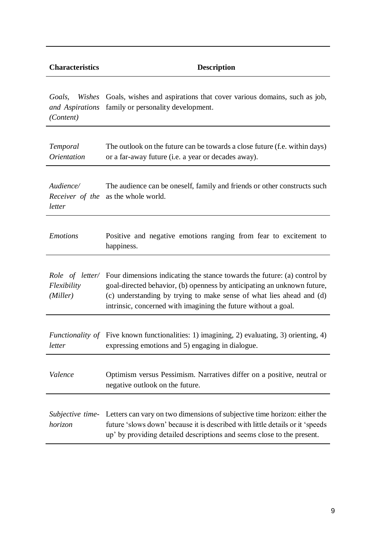| <b>Characteristics</b>                           | <b>Description</b>                                                                                                                                                                                                                                                                                                  |
|--------------------------------------------------|---------------------------------------------------------------------------------------------------------------------------------------------------------------------------------------------------------------------------------------------------------------------------------------------------------------------|
| Goals,<br>Wishes<br>and Aspirations<br>(Content) | Goals, wishes and aspirations that cover various domains, such as job,<br>family or personality development.                                                                                                                                                                                                        |
| Temporal<br><i>Orientation</i>                   | The outlook on the future can be towards a close future (f.e. within days)<br>or a far-away future (i.e. a year or decades away).                                                                                                                                                                                   |
| Audience/<br>Receiver of the<br>letter           | The audience can be oneself, family and friends or other constructs such<br>as the whole world.                                                                                                                                                                                                                     |
| <b>Emotions</b>                                  | Positive and negative emotions ranging from fear to excitement to<br>happiness.                                                                                                                                                                                                                                     |
| Flexibility<br>(Miller)                          | <i>Role of letter</i> Four dimensions indicating the stance towards the future: (a) control by<br>goal-directed behavior, (b) openness by anticipating an unknown future,<br>(c) understanding by trying to make sense of what lies ahead and (d)<br>intrinsic, concerned with imagining the future without a goal. |
| letter                                           | <i>Functionality of</i> Five known functionalities: 1) imagining, 2) evaluating, 3) orienting, 4)<br>expressing emotions and 5) engaging in dialogue.                                                                                                                                                               |
| Valence                                          | Optimism versus Pessimism. Narratives differ on a positive, neutral or<br>negative outlook on the future.                                                                                                                                                                                                           |
| horizon                                          | Subjective time- Letters can vary on two dimensions of subjective time horizon: either the<br>future 'slows down' because it is described with little details or it 'speeds<br>up' by providing detailed descriptions and seems close to the present.                                                               |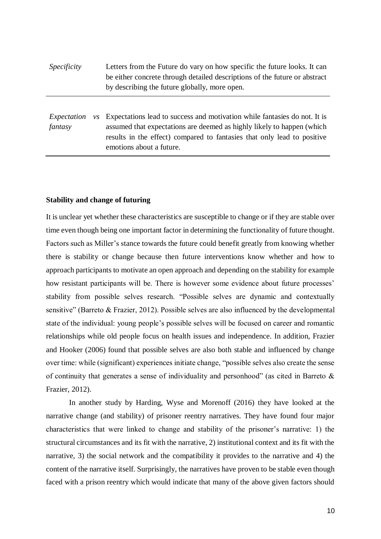| <i>Specificity</i>                                 | Letters from the Future do vary on how specific the future looks. It can<br>be either concrete through detailed descriptions of the future or abstract<br>by describing the future globally, more open.                                                    |  |  |
|----------------------------------------------------|------------------------------------------------------------------------------------------------------------------------------------------------------------------------------------------------------------------------------------------------------------|--|--|
| Expectation<br>$\mathcal{V}\mathcal{S}$<br>fantasy | Expectations lead to success and motivation while fantasies do not. It is<br>assumed that expectations are deemed as highly likely to happen (which<br>results in the effect) compared to fantasies that only lead to positive<br>emotions about a future. |  |  |

#### **Stability and change of futuring**

It is unclear yet whether these characteristics are susceptible to change or if they are stable over time even though being one important factor in determining the functionality of future thought. Factors such as Miller's stance towards the future could benefit greatly from knowing whether there is stability or change because then future interventions know whether and how to approach participants to motivate an open approach and depending on the stability for example how resistant participants will be. There is however some evidence about future processes' stability from possible selves research. "Possible selves are dynamic and contextually sensitive" (Barreto & Frazier, 2012). Possible selves are also influenced by the developmental state of the individual: young people's possible selves will be focused on career and romantic relationships while old people focus on health issues and independence. In addition, Frazier and Hooker (2006) found that possible selves are also both stable and influenced by change over time: while (significant) experiences initiate change, "possible selves also create the sense of continuity that generates a sense of individuality and personhood" (as cited in Barreto & Frazier, 2012).

In another study by Harding, Wyse and Morenoff (2016) they have looked at the narrative change (and stability) of prisoner reentry narratives. They have found four major characteristics that were linked to change and stability of the prisoner's narrative: 1) the structural circumstances and its fit with the narrative, 2) institutional context and its fit with the narrative, 3) the social network and the compatibility it provides to the narrative and 4) the content of the narrative itself. Surprisingly, the narratives have proven to be stable even though faced with a prison reentry which would indicate that many of the above given factors should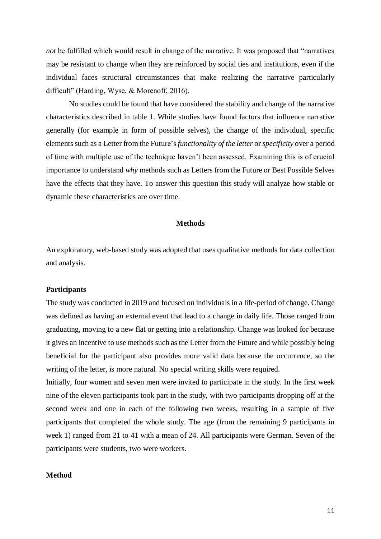*not* be fulfilled which would result in change of the narrative. It was proposed that "narratives" may be resistant to change when they are reinforced by social ties and institutions, even if the individual faces structural circumstances that make realizing the narrative particularly difficult" (Harding, Wyse, & Morenoff, 2016).

No studies could be found that have considered the stability and change of the narrative characteristics described in table 1. While studies have found factors that influence narrative generally (for example in form of possible selves), the change of the individual, specific elements such as a Letter from the Future's *functionality of the letter* or *specificity* over a period of time with multiple use of the technique haven't been assessed. Examining this is of crucial importance to understand *why* methods such as Letters from the Future or Best Possible Selves have the effects that they have. To answer this question this study will analyze how stable or dynamic these characteristics are over time.

#### **Methods**

An exploratory, web-based study was adopted that uses qualitative methods for data collection and analysis.

#### **Participants**

The study was conducted in 2019 and focused on individuals in a life-period of change. Change was defined as having an external event that lead to a change in daily life. Those ranged from graduating, moving to a new flat or getting into a relationship. Change was looked for because it gives an incentive to use methods such as the Letter from the Future and while possibly being beneficial for the participant also provides more valid data because the occurrence, so the writing of the letter, is more natural. No special writing skills were required.

Initially, four women and seven men were invited to participate in the study. In the first week nine of the eleven participants took part in the study, with two participants dropping off at the second week and one in each of the following two weeks, resulting in a sample of five participants that completed the whole study. The age (from the remaining 9 participants in week 1) ranged from 21 to 41 with a mean of 24. All participants were German. Seven of the participants were students, two were workers.

#### **Method**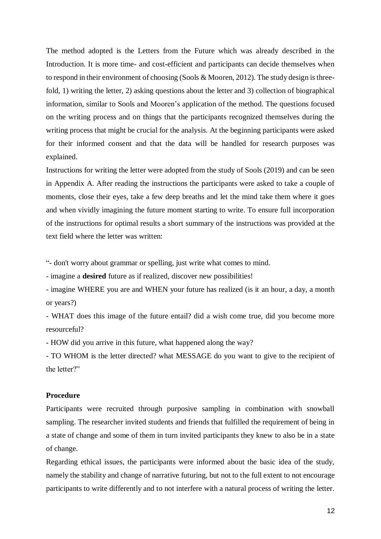The method adopted is the Letters from the Future which was already described in the Introduction. It is more time- and cost-efficient and participants can decide themselves when to respond in their environment of choosing (Sools & Mooren, 2012). The study design is threefold, 1) writing the letter, 2) asking questions about the letter and 3) collection of biographical information, similar to Sools and Mooren's application of the method. The questions focused on the writing process and on things that the participants recognized themselves during the writing process that might be crucial for the analysis. At the beginning participants were asked for their informed consent and that the data will be handled for research purposes was explained.

Instructions for writing the letter were adopted from the study of Sools (2019) and can be seen in Appendix A. After reading the instructions the participants were asked to take a couple of moments, close their eyes, take a few deep breaths and let the mind take them where it goes and when vividly imagining the future moment starting to write. To ensure full incorporation of the instructions for optimal results a short summary of the instructions was provided at the text field where the letter was written:

"- don't worry about grammar or spelling, just write what comes to mind.

- imagine a **desired** future as if realized, discover new possibilities!

- imagine WHERE you are and WHEN your future has realized (is it an hour, a day, a month or years?)

- WHAT does this image of the future entail? did a wish come true, did you become more resourceful?

- HOW did you arrive in this future, what happened along the way?

- TO WHOM is the letter directed? what MESSAGE do you want to give to the recipient of the letter?"

#### **Procedure**

Participants were recruited through purposive sampling in combination with snowball sampling. The researcher invited students and friends that fulfilled the requirement of being in a state of change and some of them in turn invited participants they knew to also be in a state of change.

Regarding ethical issues, the participants were informed about the basic idea of the study, namely the stability and change of narrative futuring, but not to the full extent to not encourage participants to write differently and to not interfere with a natural process of writing the letter.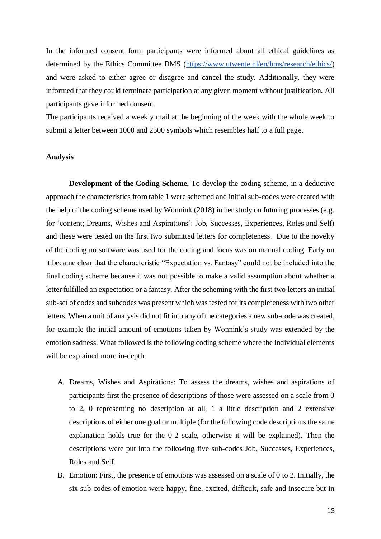In the informed consent form participants were informed about all ethical guidelines as determined by the Ethics Committee BMS [\(https://www.utwente.nl/en/bms/research/ethics/\)](https://www.utwente.nl/en/bms/research/ethics/) and were asked to either agree or disagree and cancel the study. Additionally, they were informed that they could terminate participation at any given moment without justification. All participants gave informed consent.

The participants received a weekly mail at the beginning of the week with the whole week to submit a letter between 1000 and 2500 symbols which resembles half to a full page.

#### **Analysis**

**Development of the Coding Scheme.** To develop the coding scheme, in a deductive approach the characteristics from table 1 were schemed and initial sub-codes were created with the help of the coding scheme used by Wonnink (2018) in her study on futuring processes (e.g. for 'content; Dreams, Wishes and Aspirations': Job, Successes, Experiences, Roles and Self) and these were tested on the first two submitted letters for completeness. Due to the novelty of the coding no software was used for the coding and focus was on manual coding. Early on it became clear that the characteristic "Expectation vs. Fantasy" could not be included into the final coding scheme because it was not possible to make a valid assumption about whether a letter fulfilled an expectation or a fantasy. After the scheming with the first two letters an initial sub-set of codes and subcodes was present which was tested for its completeness with two other letters. When a unit of analysis did not fit into any of the categories a new sub-code was created, for example the initial amount of emotions taken by Wonnink's study was extended by the emotion sadness. What followed is the following coding scheme where the individual elements will be explained more in-depth:

- A. Dreams, Wishes and Aspirations: To assess the dreams, wishes and aspirations of participants first the presence of descriptions of those were assessed on a scale from 0 to 2, 0 representing no description at all, 1 a little description and 2 extensive descriptions of either one goal or multiple (for the following code descriptions the same explanation holds true for the 0-2 scale, otherwise it will be explained). Then the descriptions were put into the following five sub-codes Job, Successes, Experiences, Roles and Self.
- B. Emotion: First, the presence of emotions was assessed on a scale of 0 to 2. Initially, the six sub-codes of emotion were happy, fine, excited, difficult, safe and insecure but in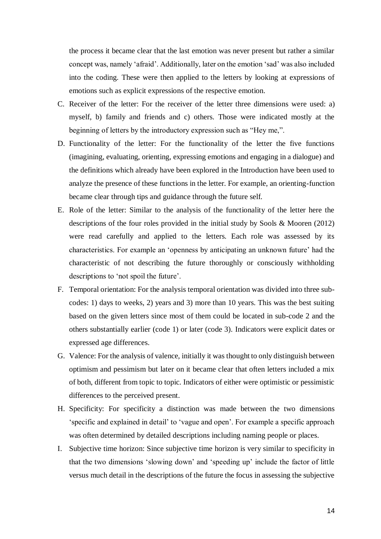the process it became clear that the last emotion was never present but rather a similar concept was, namely 'afraid'. Additionally, later on the emotion 'sad' was also included into the coding. These were then applied to the letters by looking at expressions of emotions such as explicit expressions of the respective emotion.

- C. Receiver of the letter: For the receiver of the letter three dimensions were used: a) myself, b) family and friends and c) others. Those were indicated mostly at the beginning of letters by the introductory expression such as "Hey me,".
- D. Functionality of the letter: For the functionality of the letter the five functions (imagining, evaluating, orienting, expressing emotions and engaging in a dialogue) and the definitions which already have been explored in the Introduction have been used to analyze the presence of these functions in the letter. For example, an orienting-function became clear through tips and guidance through the future self.
- E. Role of the letter: Similar to the analysis of the functionality of the letter here the descriptions of the four roles provided in the initial study by Sools & Mooren (2012) were read carefully and applied to the letters. Each role was assessed by its characteristics. For example an 'openness by anticipating an unknown future' had the characteristic of not describing the future thoroughly or consciously withholding descriptions to 'not spoil the future'.
- F. Temporal orientation: For the analysis temporal orientation was divided into three subcodes: 1) days to weeks, 2) years and 3) more than 10 years. This was the best suiting based on the given letters since most of them could be located in sub-code 2 and the others substantially earlier (code 1) or later (code 3). Indicators were explicit dates or expressed age differences.
- G. Valence: For the analysis of valence, initially it was thought to only distinguish between optimism and pessimism but later on it became clear that often letters included a mix of both, different from topic to topic. Indicators of either were optimistic or pessimistic differences to the perceived present.
- H. Specificity: For specificity a distinction was made between the two dimensions 'specific and explained in detail' to 'vague and open'. For example a specific approach was often determined by detailed descriptions including naming people or places.
- I. Subjective time horizon: Since subjective time horizon is very similar to specificity in that the two dimensions 'slowing down' and 'speeding up' include the factor of little versus much detail in the descriptions of the future the focus in assessing the subjective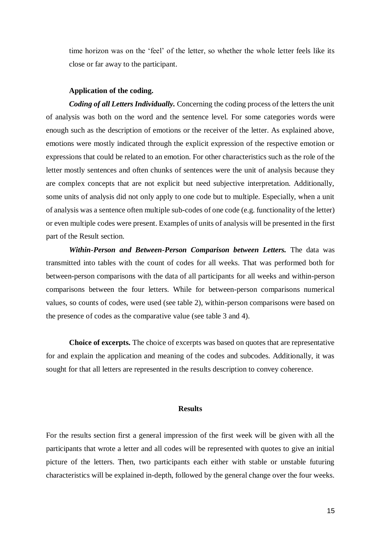time horizon was on the 'feel' of the letter, so whether the whole letter feels like its close or far away to the participant.

#### **Application of the coding.**

*Coding of all Letters Individually.* Concerning the coding process of the letters the unit of analysis was both on the word and the sentence level. For some categories words were enough such as the description of emotions or the receiver of the letter. As explained above, emotions were mostly indicated through the explicit expression of the respective emotion or expressions that could be related to an emotion. For other characteristics such as the role of the letter mostly sentences and often chunks of sentences were the unit of analysis because they are complex concepts that are not explicit but need subjective interpretation. Additionally, some units of analysis did not only apply to one code but to multiple. Especially, when a unit of analysis was a sentence often multiple sub-codes of one code (e.g. functionality of the letter) or even multiple codes were present. Examples of units of analysis will be presented in the first part of the Result section.

*Within-Person and Between-Person Comparison between Letters.* The data was transmitted into tables with the count of codes for all weeks. That was performed both for between-person comparisons with the data of all participants for all weeks and within-person comparisons between the four letters. While for between-person comparisons numerical values, so counts of codes, were used (see table 2), within-person comparisons were based on the presence of codes as the comparative value (see table 3 and 4).

**Choice of excerpts.** The choice of excerpts was based on quotes that are representative for and explain the application and meaning of the codes and subcodes. Additionally, it was sought for that all letters are represented in the results description to convey coherence.

#### **Results**

For the results section first a general impression of the first week will be given with all the participants that wrote a letter and all codes will be represented with quotes to give an initial picture of the letters. Then, two participants each either with stable or unstable futuring characteristics will be explained in-depth, followed by the general change over the four weeks.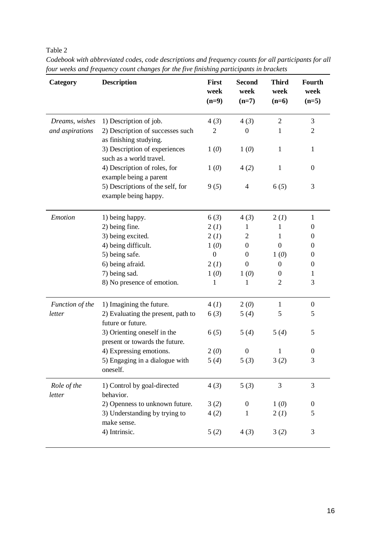Table 2

| Category              | <b>Description</b>                                            | First<br>week<br>$(n=9)$ | <b>Second</b><br>week<br>$(n=7)$ | <b>Third</b><br>week<br>$(n=6)$ | Fourth<br>week<br>$(n=5)$ |
|-----------------------|---------------------------------------------------------------|--------------------------|----------------------------------|---------------------------------|---------------------------|
| Dreams, wishes        | 1) Description of job.                                        | 4(3)                     | 4(3)                             | $\overline{2}$                  | 3                         |
| and aspirations       | 2) Description of successes such<br>as finishing studying.    | $\overline{2}$           | $\boldsymbol{0}$                 | 1                               | $\overline{2}$            |
|                       | 3) Description of experiences<br>such as a world travel.      | 1(0)                     | 1(0)                             | 1                               | $\mathbf{1}$              |
|                       | 4) Description of roles, for<br>example being a parent        | 1(0)                     | 4(2)                             | 1                               | $\overline{0}$            |
|                       | 5) Descriptions of the self, for<br>example being happy.      | 9(5)                     | $\overline{4}$                   | 6(5)                            | 3                         |
| Emotion               | 1) being happy.                                               | 6(3)                     | 4(3)                             | 2(l)                            | $\mathbf{1}$              |
|                       | 2) being fine.                                                | 2(l)                     | 1                                | 1                               | $\boldsymbol{0}$          |
|                       | 3) being excited.                                             | 2(l)                     | $\overline{2}$                   | 1                               | $\boldsymbol{0}$          |
|                       | 4) being difficult.                                           | 1(0)                     | $\mathbf{0}$                     | $\mathbf{0}$                    | $\boldsymbol{0}$          |
|                       | 5) being safe.                                                | $\boldsymbol{0}$         | $\overline{0}$                   | 1(0)                            | $\boldsymbol{0}$          |
|                       | 6) being afraid.                                              | 2(l)                     | $\mathbf{0}$                     | $\overline{0}$                  | $\boldsymbol{0}$          |
|                       | 7) being sad.                                                 | 1(0)                     | 1(0)                             | $\boldsymbol{0}$                | 1                         |
|                       | 8) No presence of emotion.                                    | 1                        | 1                                | $\overline{2}$                  | 3                         |
| Function of the       | 1) Imagining the future.                                      | 4(I)                     | 2(0)                             | $\mathbf{1}$                    | $\boldsymbol{0}$          |
| letter                | 2) Evaluating the present, path to<br>future or future.       | 6(3)                     | 5(4)                             | 5                               | 5                         |
|                       | 3) Orienting oneself in the<br>present or towards the future. | 6(5)                     | 5(4)                             | 5(4)                            | 5                         |
|                       | 4) Expressing emotions.                                       | 2(0)                     | $\boldsymbol{0}$                 | $\mathbf{1}$                    | $\boldsymbol{0}$          |
|                       | 5) Engaging in a dialogue with<br>oneself.                    | 5(4)                     | 5(3)                             | 3(2)                            | 3                         |
| Role of the<br>letter | 1) Control by goal-directed<br>behavior.                      | 4(3)                     | 5(3)                             | 3                               | 3                         |
|                       | 2) Openness to unknown future.                                | 3(2)                     | $\overline{0}$                   | 1(0)                            | $\boldsymbol{0}$          |
|                       | 3) Understanding by trying to<br>make sense.                  | 4(2)                     | 1                                | 2(l)                            | 5                         |
|                       | 4) Intrinsic.                                                 | 5(2)                     | 4(3)                             | 3(2)                            | 3                         |

*Codebook with abbreviated codes, code descriptions and frequency counts for all participants for all four weeks and frequency count changes for the five finishing participants in brackets*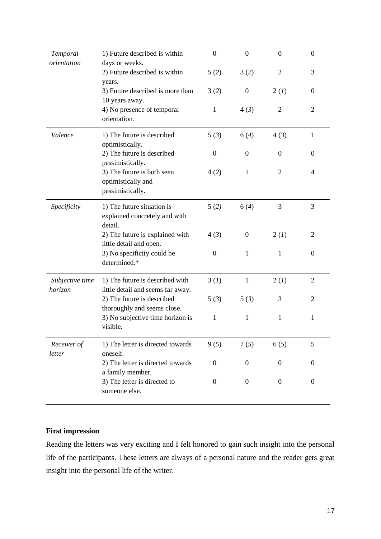| Temporal<br>orientation    | 1) Future described is within<br>days or weeks.                        | $\boldsymbol{0}$ | $\boldsymbol{0}$ | $\mathbf{0}$   | $\boldsymbol{0}$ |
|----------------------------|------------------------------------------------------------------------|------------------|------------------|----------------|------------------|
|                            | 2) Future described is within<br>years.                                | 5(2)             | 3(2)             | $\overline{2}$ | 3                |
|                            | 3) Future described is more than<br>10 years away.                     | 3(2)             | $\boldsymbol{0}$ | 2(l)           | $\boldsymbol{0}$ |
|                            | 4) No presence of temporal<br>orientation.                             | $\mathbf{1}$     | 4(3)             | $\overline{2}$ | $\overline{2}$   |
| Valence                    | 1) The future is described<br>optimistically.                          | 5(3)             | 6(4)             | 4(3)           | $\mathbf{1}$     |
|                            | 2) The future is described<br>pessimistically.                         | $\boldsymbol{0}$ | $\boldsymbol{0}$ | $\Omega$       | $\boldsymbol{0}$ |
|                            | 3) The future is both seen<br>optimistically and<br>pessimistically.   | 4(2)             | $\mathbf{1}$     | 2              | 4                |
| Specificity                | 1) The future situation is<br>explained concretely and with<br>detail. | 5(2)             | 6(4)             | 3              | 3                |
|                            | 2) The future is explained with<br>little detail and open.             | 4(3)             | $\overline{0}$   | 2(I)           | $\overline{2}$   |
|                            | 3) No specificity could be<br>determined.*                             | $\boldsymbol{0}$ | $\mathbf{1}$     | 1              | $\boldsymbol{0}$ |
| Subjective time<br>horizon | 1) The future is described with<br>little detail and seems far away.   | 3(l)             | 1                | 2(l)           | $\overline{2}$   |
|                            | 2) The future is described<br>thoroughly and seems close.              | 5(3)             | 5(3)             | 3              | 2                |
|                            | 3) No subjective time horizon is<br>visible.                           | $\mathbf{1}$     | 1                | 1              | 1                |
| Receiver of<br>letter      | 1) The letter is directed towards<br>oneself.                          | 9(5)             | 7(5)             | 6(5)           | 5                |
|                            | 2) The letter is directed towards<br>a family member.                  | $\boldsymbol{0}$ | $\theta$         | $\mathbf{0}$   | $\boldsymbol{0}$ |
|                            | 3) The letter is directed to<br>someone else.                          | $\boldsymbol{0}$ | $\boldsymbol{0}$ | $\mathbf{0}$   | $\boldsymbol{0}$ |

# **First impression**

Reading the letters was very exciting and I felt honored to gain such insight into the personal life of the participants. These letters are always of a personal nature and the reader gets great insight into the personal life of the writer.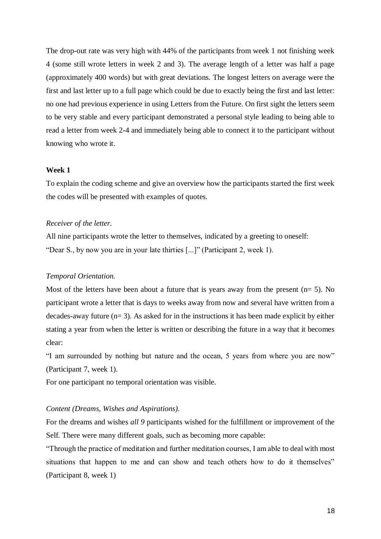The drop-out rate was very high with 44% of the participants from week 1 not finishing week 4 (some still wrote letters in week 2 and 3). The average length of a letter was half a page (approximately 400 words) but with great deviations. The longest letters on average were the first and last letter up to a full page which could be due to exactly being the first and last letter: no one had previous experience in using Letters from the Future. On first sight the letters seem to be very stable and every participant demonstrated a personal style leading to being able to read a letter from week 2-4 and immediately being able to connect it to the participant without knowing who wrote it.

#### **Week 1**

To explain the coding scheme and give an overview how the participants started the first week the codes will be presented with examples of quotes.

#### *Receiver of the letter.*

All nine participants wrote the letter to themselves, indicated by a greeting to oneself: "Dear S., by now you are in your late thirties [...]" (Participant 2, week 1).

#### *Temporal Orientation.*

Most of the letters have been about a future that is years away from the present  $(n= 5)$ . No participant wrote a letter that is days to weeks away from now and several have written from a decades-away future  $(n= 3)$ . As asked for in the instructions it has been made explicit by either stating a year from when the letter is written or describing the future in a way that it becomes clear:

"I am surrounded by nothing but nature and the ocean, 5 years from where you are now" (Participant 7, week 1).

For one participant no temporal orientation was visible.

#### *Content (Dreams, Wishes and Aspirations).*

For the dreams and wishes *all 9* participants wished for the fulfillment or improvement of the Self. There were many different goals, such as becoming more capable:

"Through the practice of meditation and further meditation courses, I am able to deal with most situations that happen to me and can show and teach others how to do it themselves" (Participant 8, week 1)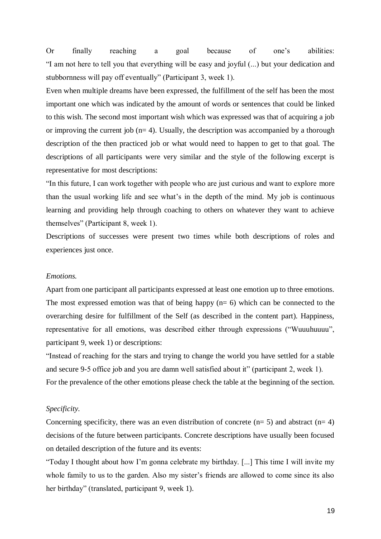Or finally reaching a goal because of one's abilities: "I am not here to tell you that everything will be easy and joyful (...) but your dedication and stubbornness will pay off eventually" (Participant 3, week 1).

Even when multiple dreams have been expressed, the fulfillment of the self has been the most important one which was indicated by the amount of words or sentences that could be linked to this wish. The second most important wish which was expressed was that of acquiring a job or improving the current job  $(n= 4)$ . Usually, the description was accompanied by a thorough description of the then practiced job or what would need to happen to get to that goal. The descriptions of all participants were very similar and the style of the following excerpt is representative for most descriptions:

"In this future, I can work together with people who are just curious and want to explore more than the usual working life and see what's in the depth of the mind. My job is continuous learning and providing help through coaching to others on whatever they want to achieve themselves" (Participant 8, week 1).

Descriptions of successes were present two times while both descriptions of roles and experiences just once.

#### *Emotions.*

Apart from one participant all participants expressed at least one emotion up to three emotions. The most expressed emotion was that of being happy  $(n= 6)$  which can be connected to the overarching desire for fulfillment of the Self (as described in the content part). Happiness, representative for all emotions, was described either through expressions ("Wuuuhuuuu", participant 9, week 1) or descriptions:

"Instead of reaching for the stars and trying to change the world you have settled for a stable and secure 9-5 office job and you are damn well satisfied about it" (participant 2, week 1). For the prevalence of the other emotions please check the table at the beginning of the section.

#### *Specificity.*

Concerning specificity, there was an even distribution of concrete  $(n= 5)$  and abstract  $(n= 4)$ decisions of the future between participants. Concrete descriptions have usually been focused on detailed description of the future and its events:

"Today I thought about how I'm gonna celebrate my birthday. [...] This time I will invite my whole family to us to the garden. Also my sister's friends are allowed to come since its also her birthday" (translated, participant 9, week 1).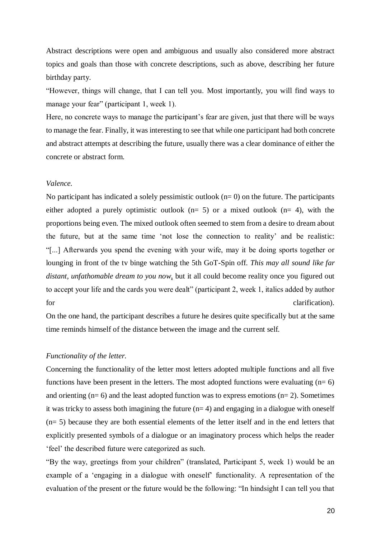Abstract descriptions were open and ambiguous and usually also considered more abstract topics and goals than those with concrete descriptions, such as above, describing her future birthday party.

"However, things will change, that I can tell you. Most importantly, you will find ways to manage your fear" (participant 1, week 1).

Here, no concrete ways to manage the participant's fear are given, just that there will be ways to manage the fear. Finally, it was interesting to see that while one participant had both concrete and abstract attempts at describing the future, usually there was a clear dominance of either the concrete or abstract form.

#### *Valence.*

No participant has indicated a solely pessimistic outlook  $(n=0)$  on the future. The participants either adopted a purely optimistic outlook  $(n= 5)$  or a mixed outlook  $(n= 4)$ , with the proportions being even. The mixed outlook often seemed to stem from a desire to dream about the future, but at the same time 'not lose the connection to reality' and be realistic: "[...] Afterwards you spend the evening with your wife, may it be doing sports together or lounging in front of the tv binge watching the 5th GoT-Spin off. *This may all sound like far distant, unfathomable dream to you now*, but it all could become reality once you figured out to accept your life and the cards you were dealt" (participant 2, week 1, italics added by author for clarification).

On the one hand, the participant describes a future he desires quite specifically but at the same time reminds himself of the distance between the image and the current self.

#### *Functionality of the letter.*

Concerning the functionality of the letter most letters adopted multiple functions and all five functions have been present in the letters. The most adopted functions were evaluating  $(n=6)$ and orienting  $(n= 6)$  and the least adopted function was to express emotions  $(n= 2)$ . Sometimes it was tricky to assess both imagining the future  $(n= 4)$  and engaging in a dialogue with oneself (n= 5) because they are both essential elements of the letter itself and in the end letters that explicitly presented symbols of a dialogue or an imaginatory process which helps the reader 'feel' the described future were categorized as such.

"By the way, greetings from your children" (translated, Participant 5, week 1) would be an example of a 'engaging in a dialogue with oneself' functionality. A representation of the evaluation of the present or the future would be the following: "In hindsight I can tell you that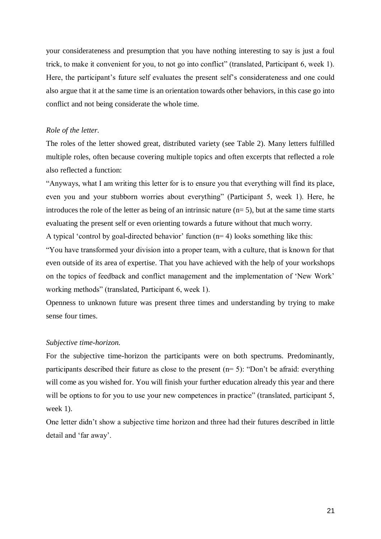your considerateness and presumption that you have nothing interesting to say is just a foul trick, to make it convenient for you, to not go into conflict" (translated, Participant 6, week 1). Here, the participant's future self evaluates the present self's considerateness and one could also argue that it at the same time is an orientation towards other behaviors, in this case go into conflict and not being considerate the whole time.

#### *Role of the letter.*

The roles of the letter showed great, distributed variety (see Table 2). Many letters fulfilled multiple roles, often because covering multiple topics and often excerpts that reflected a role also reflected a function:

"Anyways, what I am writing this letter for is to ensure you that everything will find its place, even you and your stubborn worries about everything" (Participant 5, week 1). Here, he introduces the role of the letter as being of an intrinsic nature  $(n=5)$ , but at the same time starts evaluating the present self or even orienting towards a future without that much worry.

A typical 'control by goal-directed behavior' function  $(n=4)$  looks something like this:

"You have transformed your division into a proper team, with a culture, that is known for that even outside of its area of expertise. That you have achieved with the help of your workshops on the topics of feedback and conflict management and the implementation of 'New Work' working methods" (translated, Participant 6, week 1).

Openness to unknown future was present three times and understanding by trying to make sense four times.

#### *Subjective time-horizon.*

For the subjective time-horizon the participants were on both spectrums. Predominantly, participants described their future as close to the present (n= 5): "Don't be afraid: everything will come as you wished for. You will finish your further education already this year and there will be options to for you to use your new competences in practice" (translated, participant 5, week 1).

One letter didn't show a subjective time horizon and three had their futures described in little detail and 'far away'.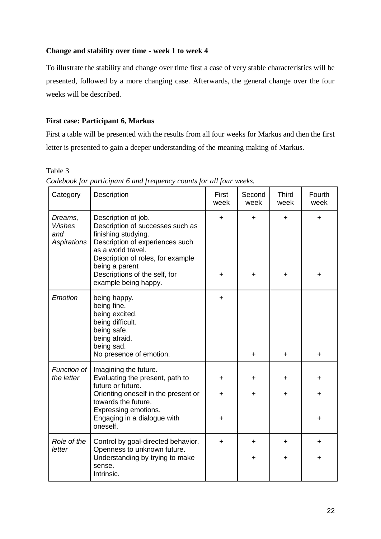# **Change and stability over time - week 1 to week 4**

To illustrate the stability and change over time first a case of very stable characteristics will be presented, followed by a more changing case. Afterwards, the general change over the four weeks will be described.

# **First case: Participant 6, Markus**

First a table will be presented with the results from all four weeks for Markus and then the first letter is presented to gain a deeper understanding of the meaning making of Markus.

Table 3

| Category                                | Description                                                                                                                                                                                                                                             | First<br>week    | Second<br>week  | <b>Third</b><br>week   | Fourth<br>week |
|-----------------------------------------|---------------------------------------------------------------------------------------------------------------------------------------------------------------------------------------------------------------------------------------------------------|------------------|-----------------|------------------------|----------------|
| Dreams,<br>Wishes<br>and<br>Aspirations | Description of job.<br>Description of successes such as<br>finishing studying.<br>Description of experiences such<br>as a world travel.<br>Description of roles, for example<br>being a parent<br>Descriptions of the self, for<br>example being happy. | $\ddot{}$<br>÷   | ÷.<br>$\ddot{}$ | ÷.<br>$\ddot{}$        | +<br>+         |
| Emotion                                 | being happy.<br>being fine.<br>being excited.<br>being difficult.<br>being safe.<br>being afraid.<br>being sad.<br>No presence of emotion.                                                                                                              | $\ddot{}$        | $+$             | $+$                    | $\ddot{}$      |
| Function of<br>the letter               | Imagining the future.<br>Evaluating the present, path to<br>future or future.<br>Orienting oneself in the present or<br>towards the future.<br>Expressing emotions.<br>Engaging in a dialogue with<br>oneself.                                          | $\div$<br>÷<br>÷ | +<br>$\pm$      | $\ddot{}$<br>+         | +<br>+         |
| Role of the<br>letter                   | Control by goal-directed behavior.<br>Openness to unknown future.<br>Understanding by trying to make<br>sense.<br>Intrinsic.                                                                                                                            | ÷                | $\div$<br>+     | $\ddot{}$<br>$\ddot{}$ | +<br>+         |

*Codebook for participant 6 and frequency counts for all four weeks.*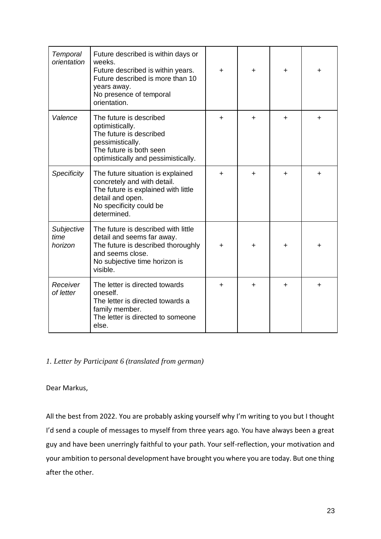| Temporal<br>orientation       | Future described is within days or<br>weeks.<br>Future described is within years.<br>Future described is more than 10<br>years away.<br>No presence of temporal<br>orientation. | $\div$ | ÷         | + | ٠ |
|-------------------------------|---------------------------------------------------------------------------------------------------------------------------------------------------------------------------------|--------|-----------|---|---|
| Valence                       | The future is described<br>optimistically.<br>The future is described<br>pessimistically.<br>The future is both seen<br>optimistically and pessimistically.                     | +      | +         | + | + |
| <b>Specificity</b>            | The future situation is explained<br>concretely and with detail.<br>The future is explained with little<br>detail and open.<br>No specificity could be<br>determined.           | $\div$ | $\ddot{}$ | + | ÷ |
| Subjective<br>time<br>horizon | The future is described with little<br>detail and seems far away.<br>The future is described thoroughly<br>and seems close.<br>No subjective time horizon is<br>visible.        | +      | +         | + |   |
| Receiver<br>of letter         | The letter is directed towards<br>oneself.<br>The letter is directed towards a<br>family member.<br>The letter is directed to someone<br>else.                                  | $\div$ | $\div$    | + | ÷ |

# *1. Letter by Participant 6 (translated from german)*

Dear Markus,

All the best from 2022. You are probably asking yourself why I'm writing to you but I thought I'd send a couple of messages to myself from three years ago. You have always been a great guy and have been unerringly faithful to your path. Your self-reflection, your motivation and your ambition to personal development have brought you where you are today. But one thing after the other.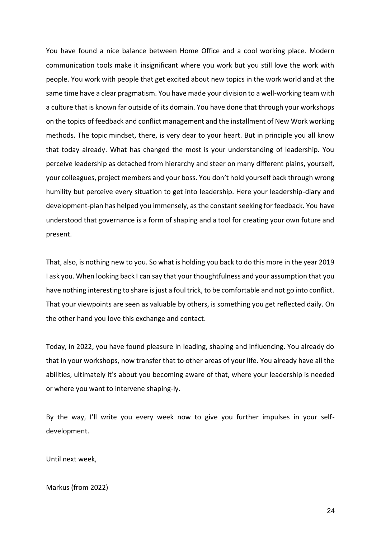You have found a nice balance between Home Office and a cool working place. Modern communication tools make it insignificant where you work but you still love the work with people. You work with people that get excited about new topics in the work world and at the same time have a clear pragmatism. You have made your division to a well-working team with a culture that is known far outside of its domain. You have done that through your workshops on the topics of feedback and conflict management and the installment of New Work working methods. The topic mindset, there, is very dear to your heart. But in principle you all know that today already. What has changed the most is your understanding of leadership. You perceive leadership as detached from hierarchy and steer on many different plains, yourself, your colleagues, project members and your boss. You don't hold yourself back through wrong humility but perceive every situation to get into leadership. Here your leadership-diary and development-plan has helped you immensely, as the constant seeking for feedback. You have understood that governance is a form of shaping and a tool for creating your own future and present.

That, also, is nothing new to you. So what is holding you back to do this more in the year 2019 I ask you. When looking back I can say that your thoughtfulness and your assumption that you have nothing interesting to share is just a foul trick, to be comfortable and not go into conflict. That your viewpoints are seen as valuable by others, is something you get reflected daily. On the other hand you love this exchange and contact.

Today, in 2022, you have found pleasure in leading, shaping and influencing. You already do that in your workshops, now transfer that to other areas of your life. You already have all the abilities, ultimately it's about you becoming aware of that, where your leadership is needed or where you want to intervene shaping-ly.

By the way, I'll write you every week now to give you further impulses in your selfdevelopment.

Until next week,

Markus (from 2022)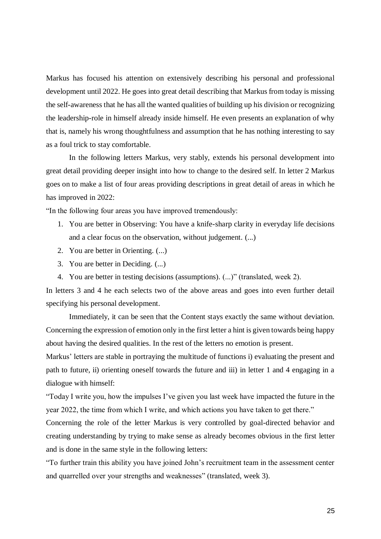Markus has focused his attention on extensively describing his personal and professional development until 2022. He goes into great detail describing that Markus from today is missing the self-awareness that he has all the wanted qualities of building up his division or recognizing the leadership-role in himself already inside himself. He even presents an explanation of why that is, namely his wrong thoughtfulness and assumption that he has nothing interesting to say as a foul trick to stay comfortable.

In the following letters Markus, very stably, extends his personal development into great detail providing deeper insight into how to change to the desired self. In letter 2 Markus goes on to make a list of four areas providing descriptions in great detail of areas in which he has improved in 2022:

"In the following four areas you have improved tremendously:

- 1. You are better in Observing: You have a knife-sharp clarity in everyday life decisions and a clear focus on the observation, without judgement. (...)
- 2. You are better in Orienting. (...)
- 3. You are better in Deciding. (...)
- 4. You are better in testing decisions (assumptions). (...)" (translated, week 2).

In letters 3 and 4 he each selects two of the above areas and goes into even further detail specifying his personal development.

Immediately, it can be seen that the Content stays exactly the same without deviation. Concerning the expression of emotion only in the first letter a hint is given towards being happy about having the desired qualities. In the rest of the letters no emotion is present.

Markus' letters are stable in portraying the multitude of functions i) evaluating the present and path to future, ii) orienting oneself towards the future and iii) in letter 1 and 4 engaging in a dialogue with himself:

"Today I write you, how the impulses I've given you last week have impacted the future in the year 2022, the time from which I write, and which actions you have taken to get there."

Concerning the role of the letter Markus is very controlled by goal-directed behavior and creating understanding by trying to make sense as already becomes obvious in the first letter and is done in the same style in the following letters:

"To further train this ability you have joined John's recruitment team in the assessment center and quarrelled over your strengths and weaknesses" (translated, week 3).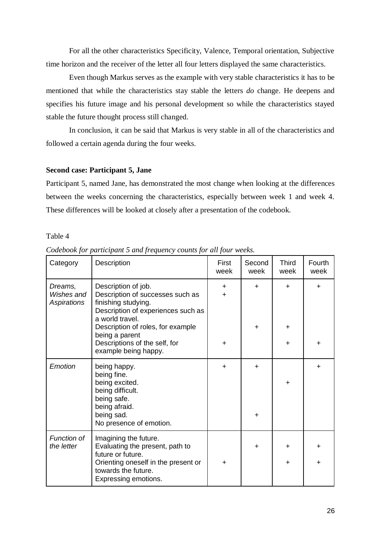For all the other characteristics Specificity, Valence, Temporal orientation, Subjective time horizon and the receiver of the letter all four letters displayed the same characteristics.

Even though Markus serves as the example with very stable characteristics it has to be mentioned that while the characteristics stay stable the letters *do* change. He deepens and specifies his future image and his personal development so while the characteristics stayed stable the future thought process still changed.

In conclusion, it can be said that Markus is very stable in all of the characteristics and followed a certain agenda during the four weeks.

#### **Second case: Participant 5, Jane**

Participant 5, named Jane, has demonstrated the most change when looking at the differences between the weeks concerning the characteristics, especially between week 1 and week 4. These differences will be looked at closely after a presentation of the codebook.

#### Table 4

| Category                             | Description                                                                                                                                                                                    | First<br>week          | Second<br>week         | <b>Third</b><br>week | Fourth<br>week |
|--------------------------------------|------------------------------------------------------------------------------------------------------------------------------------------------------------------------------------------------|------------------------|------------------------|----------------------|----------------|
| Dreams,<br>Wishes and<br>Aspirations | Description of job.<br>Description of successes such as<br>finishing studying.<br>Description of experiences such as<br>a world travel.<br>Description of roles, for example<br>being a parent | $\ddot{}$<br>$\ddot{}$ | $\div$<br>$\ddot{}$    | ÷<br>$\ddot{}$       | +              |
|                                      | Descriptions of the self, for<br>example being happy.                                                                                                                                          | $\ddot{}$              |                        | $\ddot{}$            | +              |
| Emotion                              | being happy.<br>being fine.<br>being excited.<br>being difficult.<br>being safe.<br>being afraid.<br>being sad.<br>No presence of emotion.                                                     | $\ddot{}$              | $\ddot{}$<br>$\ddot{}$ | $\ddot{}$            | ┿              |
| Function of<br>the letter            | Imagining the future.<br>Evaluating the present, path to<br>future or future.<br>Orienting oneself in the present or<br>towards the future.<br>Expressing emotions.                            | $\ddot{}$              | $\ddot{}$              | $\div$<br>$\div$     |                |

*Codebook for participant 5 and frequency counts for all four weeks.*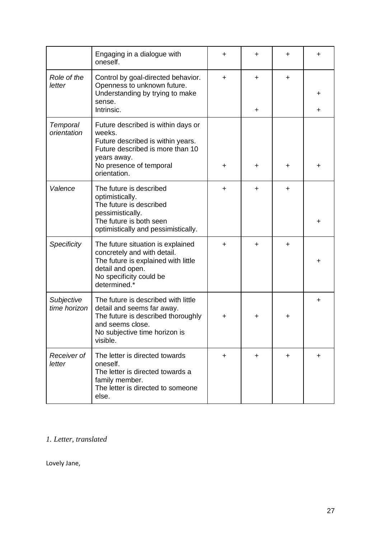|                            | Engaging in a dialogue with                                                                                                                                              |    | ┿         | ٠         | +         |
|----------------------------|--------------------------------------------------------------------------------------------------------------------------------------------------------------------------|----|-----------|-----------|-----------|
|                            | oneself.                                                                                                                                                                 | +  |           |           |           |
| Role of the                | Control by goal-directed behavior.                                                                                                                                       | ÷. | $\ddot{}$ | $\ddot{}$ |           |
| letter                     | Openness to unknown future.<br>Understanding by trying to make                                                                                                           |    |           |           | ┿         |
|                            | sense.<br>Intrinsic.                                                                                                                                                     |    | $\ddot{}$ |           | ٠         |
| Temporal<br>orientation    | Future described is within days or<br>weeks.<br>Future described is within years.<br>Future described is more than 10<br>years away.                                     |    |           |           |           |
|                            | No presence of temporal<br>orientation.                                                                                                                                  | ٠  | $\ddot{}$ | ٠         | +         |
| Valence                    | The future is described<br>optimistically.<br>The future is described<br>pessimistically.                                                                                | ٠  | $\ddot{}$ | $\ddot{}$ |           |
|                            | The future is both seen<br>optimistically and pessimistically.                                                                                                           |    |           |           | +         |
| Specificity                | The future situation is explained<br>concretely and with detail.<br>The future is explained with little<br>detail and open.<br>No specificity could be<br>determined.*   | +  | ÷         | $\ddot{}$ | ┿         |
| Subjective<br>time horizon | The future is described with little<br>detail and seems far away.<br>The future is described thoroughly<br>and seems close.<br>No subjective time horizon is<br>visible. | +  | +         | +         | ٠         |
| Receiver of<br>letter      | The letter is directed towards<br>oneself.<br>The letter is directed towards a<br>family member.<br>The letter is directed to someone<br>else.                           | ÷. | $\ddot{}$ | $\ddot{}$ | $\ddot{}$ |

# *1. Letter, translated*

Lovely Jane,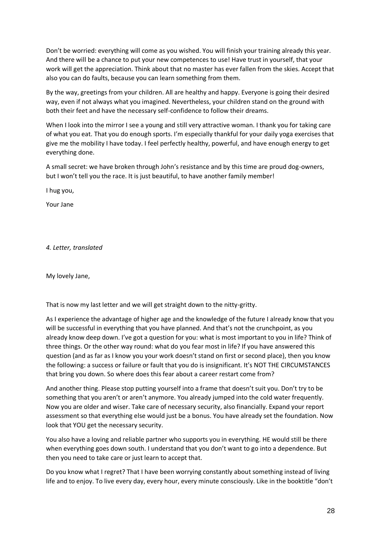Don't be worried: everything will come as you wished. You will finish your training already this year. And there will be a chance to put your new competences to use! Have trust in yourself, that your work will get the appreciation. Think about that no master has ever fallen from the skies. Accept that also you can do faults, because you can learn something from them.

By the way, greetings from your children. All are healthy and happy. Everyone is going their desired way, even if not always what you imagined. Nevertheless, your children stand on the ground with both their feet and have the necessary self-confidence to follow their dreams.

When I look into the mirror I see a young and still very attractive woman. I thank you for taking care of what you eat. That you do enough sports. I'm especially thankful for your daily yoga exercises that give me the mobility I have today. I feel perfectly healthy, powerful, and have enough energy to get everything done.

A small secret: we have broken through John's resistance and by this time are proud dog-owners, but I won't tell you the race. It is just beautiful, to have another family member!

I hug you,

Your Jane

*4. Letter, translated*

My lovely Jane,

That is now my last letter and we will get straight down to the nitty-gritty.

As I experience the advantage of higher age and the knowledge of the future I already know that you will be successful in everything that you have planned. And that's not the crunchpoint, as you already know deep down. I've got a question for you: what is most important to you in life? Think of three things. Or the other way round: what do you fear most in life? If you have answered this question (and as far as I know you your work doesn't stand on first or second place), then you know the following: a success or failure or fault that you do is insignificant. It's NOT THE CIRCUMSTANCES that bring you down. So where does this fear about a career restart come from?

And another thing. Please stop putting yourself into a frame that doesn't suit you. Don't try to be something that you aren't or aren't anymore. You already jumped into the cold water frequently. Now you are older and wiser. Take care of necessary security, also financially. Expand your report assessment so that everything else would just be a bonus. You have already set the foundation. Now look that YOU get the necessary security.

You also have a loving and reliable partner who supports you in everything. HE would still be there when everything goes down south. I understand that you don't want to go into a dependence. But then you need to take care or just learn to accept that.

Do you know what I regret? That I have been worrying constantly about something instead of living life and to enjoy. To live every day, every hour, every minute consciously. Like in the booktitle "don't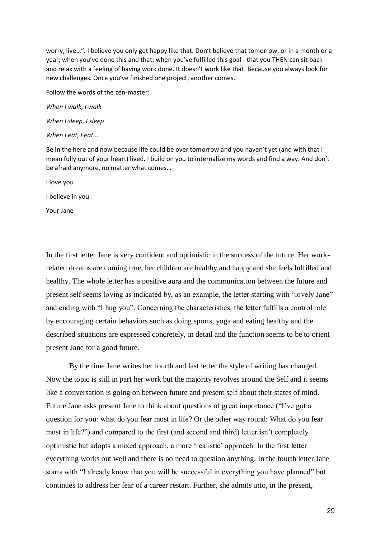worry, live...". I believe you only get happy like that. Don't believe that tomorrow, or in a month or a year; when you've done this and that; when you've fulfilled this goal - that you THEN can sit back and relax with a feeling of having work done. It doesn't work like that. Because you always look for new challenges. Once you've finished one project, another comes.

Follow the words of the zen-master:

*When I walk, I walk When I sleep, I sleep*

*When I eat, I eat...*

Be in the here and now because life could be over tomorrow and you haven't yet (and with that I mean fully out of your heart) lived. I build on you to internalize my words and find a way. And don't be afraid anymore, no matter what comes…

I love you

I believe in you

Your Jane

In the first letter Jane is very confident and optimistic in the success of the future. Her workrelated dreams are coming true, her children are healthy and happy and she feels fulfilled and healthy. The whole letter has a positive aura and the communication between the future and present self seems loving as indicated by, as an example, the letter starting with "lovely Jane" and ending with "I hug you". Concerning the characteristics, the letter fulfills a control role by encouraging certain behaviors such as doing sports, yoga and eating healthy and the described situations are expressed concretely, in detail and the function seems to be to orient present Jane for a good future.

By the time Jane writes her fourth and last letter the style of writing has changed. Now the topic is still in part her work but the majority revolves around the Self and it seems like a conversation is going on between future and present self about their states of mind. Future Jane asks present Jane to think about questions of great importance ("I've got a question for you: what do you fear most in life? Or the other way round: What do you fear most in life?") and compared to the first (and second and third) letter isn't completely optimistic but adopts a mixed approach, a more 'realistic' approach: In the first letter everything works out well and there is no need to question anything. In the fourth letter Jane starts with "I already know that you will be successful in everything you have planned" but continues to address her fear of a career restart. Further, she admits into, in the present,

29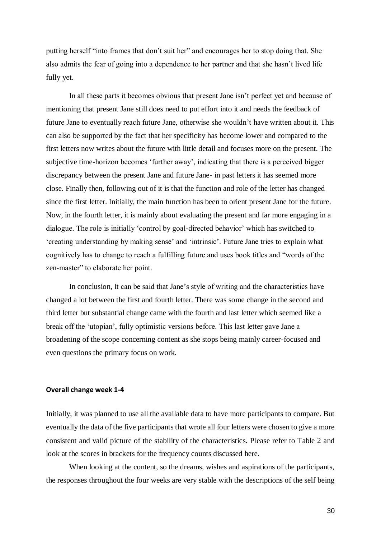putting herself "into frames that don't suit her" and encourages her to stop doing that. She also admits the fear of going into a dependence to her partner and that she hasn't lived life fully yet.

In all these parts it becomes obvious that present Jane isn't perfect yet and because of mentioning that present Jane still does need to put effort into it and needs the feedback of future Jane to eventually reach future Jane, otherwise she wouldn't have written about it. This can also be supported by the fact that her specificity has become lower and compared to the first letters now writes about the future with little detail and focuses more on the present. The subjective time-horizon becomes 'further away', indicating that there is a perceived bigger discrepancy between the present Jane and future Jane- in past letters it has seemed more close. Finally then, following out of it is that the function and role of the letter has changed since the first letter. Initially, the main function has been to orient present Jane for the future. Now, in the fourth letter, it is mainly about evaluating the present and far more engaging in a dialogue. The role is initially 'control by goal-directed behavior' which has switched to 'creating understanding by making sense' and 'intrinsic'. Future Jane tries to explain what cognitively has to change to reach a fulfilling future and uses book titles and "words of the zen-master" to elaborate her point.

In conclusion, it can be said that Jane's style of writing and the characteristics have changed a lot between the first and fourth letter. There was some change in the second and third letter but substantial change came with the fourth and last letter which seemed like a break off the 'utopian', fully optimistic versions before. This last letter gave Jane a broadening of the scope concerning content as she stops being mainly career-focused and even questions the primary focus on work.

#### **Overall change week 1-4**

Initially, it was planned to use all the available data to have more participants to compare. But eventually the data of the five participants that wrote all four letters were chosen to give a more consistent and valid picture of the stability of the characteristics. Please refer to Table 2 and look at the scores in brackets for the frequency counts discussed here.

When looking at the content, so the dreams, wishes and aspirations of the participants, the responses throughout the four weeks are very stable with the descriptions of the self being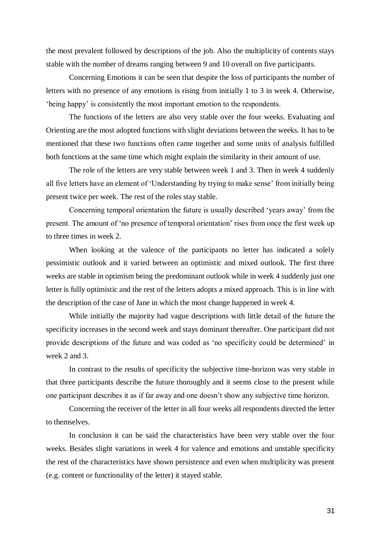the most prevalent followed by descriptions of the job. Also the multiplicity of contents stays stable with the number of dreams ranging between 9 and 10 overall on five participants.

Concerning Emotions it can be seen that despite the loss of participants the number of letters with no presence of any emotions is rising from initially 1 to 3 in week 4. Otherwise, 'being happy' is consistently the most important emotion to the respondents.

The functions of the letters are also very stable over the four weeks. Evaluating and Orienting are the most adopted functions with slight deviations between the weeks. It has to be mentioned that these two functions often came together and some units of analysis fulfilled both functions at the same time which might explain the similarity in their amount of use.

The role of the letters are very stable between week 1 and 3. Then in week 4 suddenly all five letters have an element of 'Understanding by trying to make sense' from initially being present twice per week. The rest of the roles stay stable.

Concerning temporal orientation the future is usually described 'years away' from the present. The amount of 'no presence of temporal orientation' rises from once the first week up to three times in week 2.

When looking at the valence of the participants no letter has indicated a solely pessimistic outlook and it varied between an optimistic and mixed outlook. The first three weeks are stable in optimism being the predominant outlook while in week 4 suddenly just one letter is fully optimistic and the rest of the letters adopts a mixed approach. This is in line with the description of the case of Jane in which the most change happened in week 4.

While initially the majority had vague descriptions with little detail of the future the specificity increases in the second week and stays dominant thereafter. One participant did not provide descriptions of the future and was coded as 'no specificity could be determined' in week 2 and 3.

In contrast to the results of specificity the subjective time-horizon was very stable in that three participants describe the future thoroughly and it seems close to the present while one participant describes it as if far away and one doesn't show any subjective time horizon.

Concerning the receiver of the letter in all four weeks all respondents directed the letter to themselves.

In conclusion it can be said the characteristics have been very stable over the four weeks. Besides slight variations in week 4 for valence and emotions and unstable specificity the rest of the characteristics have shown persistence and even when multiplicity was present (e.g. content or functionality of the letter) it stayed stable.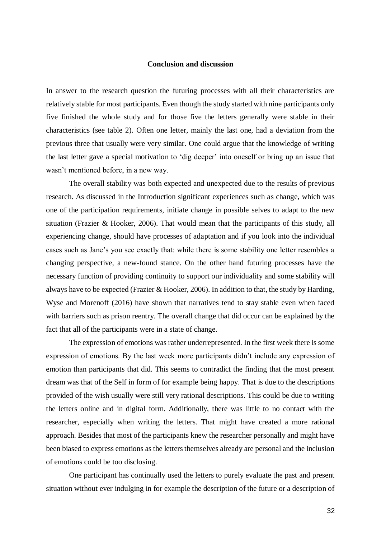#### **Conclusion and discussion**

In answer to the research question the futuring processes with all their characteristics are relatively stable for most participants. Even though the study started with nine participants only five finished the whole study and for those five the letters generally were stable in their characteristics (see table 2). Often one letter, mainly the last one, had a deviation from the previous three that usually were very similar. One could argue that the knowledge of writing the last letter gave a special motivation to 'dig deeper' into oneself or bring up an issue that wasn't mentioned before, in a new way.

The overall stability was both expected and unexpected due to the results of previous research. As discussed in the Introduction significant experiences such as change, which was one of the participation requirements, initiate change in possible selves to adapt to the new situation (Frazier & Hooker, 2006). That would mean that the participants of this study, all experiencing change, should have processes of adaptation and if you look into the individual cases such as Jane's you see exactly that: while there is some stability one letter resembles a changing perspective, a new-found stance. On the other hand futuring processes have the necessary function of providing continuity to support our individuality and some stability will always have to be expected (Frazier & Hooker, 2006). In addition to that, the study by Harding, Wyse and Morenoff (2016) have shown that narratives tend to stay stable even when faced with barriers such as prison reentry. The overall change that did occur can be explained by the fact that all of the participants were in a state of change.

The expression of emotions was rather underrepresented. In the first week there is some expression of emotions. By the last week more participants didn't include any expression of emotion than participants that did. This seems to contradict the finding that the most present dream was that of the Self in form of for example being happy. That is due to the descriptions provided of the wish usually were still very rational descriptions. This could be due to writing the letters online and in digital form. Additionally, there was little to no contact with the researcher, especially when writing the letters. That might have created a more rational approach. Besides that most of the participants knew the researcher personally and might have been biased to express emotions as the letters themselves already are personal and the inclusion of emotions could be too disclosing.

One participant has continually used the letters to purely evaluate the past and present situation without ever indulging in for example the description of the future or a description of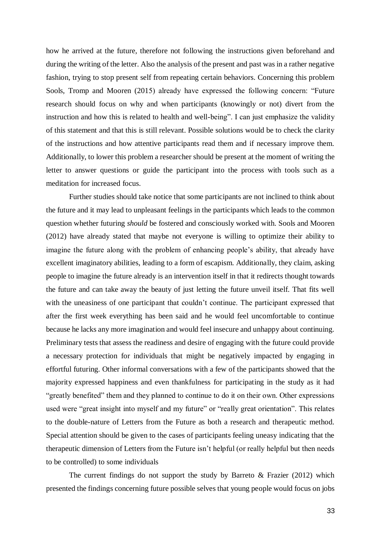how he arrived at the future, therefore not following the instructions given beforehand and during the writing of the letter. Also the analysis of the present and past was in a rather negative fashion, trying to stop present self from repeating certain behaviors. Concerning this problem Sools, Tromp and Mooren (2015) already have expressed the following concern: "Future research should focus on why and when participants (knowingly or not) divert from the instruction and how this is related to health and well-being". I can just emphasize the validity of this statement and that this is still relevant. Possible solutions would be to check the clarity of the instructions and how attentive participants read them and if necessary improve them. Additionally, to lower this problem a researcher should be present at the moment of writing the letter to answer questions or guide the participant into the process with tools such as a meditation for increased focus.

Further studies should take notice that some participants are not inclined to think about the future and it may lead to unpleasant feelings in the participants which leads to the common question whether futuring *should* be fostered and consciously worked with. Sools and Mooren (2012) have already stated that maybe not everyone is willing to optimize their ability to imagine the future along with the problem of enhancing people's ability, that already have excellent imaginatory abilities, leading to a form of escapism. Additionally, they claim, asking people to imagine the future already is an intervention itself in that it redirects thought towards the future and can take away the beauty of just letting the future unveil itself. That fits well with the uneasiness of one participant that couldn't continue. The participant expressed that after the first week everything has been said and he would feel uncomfortable to continue because he lacks any more imagination and would feel insecure and unhappy about continuing. Preliminary tests that assess the readiness and desire of engaging with the future could provide a necessary protection for individuals that might be negatively impacted by engaging in effortful futuring. Other informal conversations with a few of the participants showed that the majority expressed happiness and even thankfulness for participating in the study as it had "greatly benefited" them and they planned to continue to do it on their own. Other expressions used were "great insight into myself and my future" or "really great orientation". This relates to the double-nature of Letters from the Future as both a research and therapeutic method. Special attention should be given to the cases of participants feeling uneasy indicating that the therapeutic dimension of Letters from the Future isn't helpful (or really helpful but then needs to be controlled) to some individuals

The current findings do not support the study by Barreto & Frazier (2012) which presented the findings concerning future possible selves that young people would focus on jobs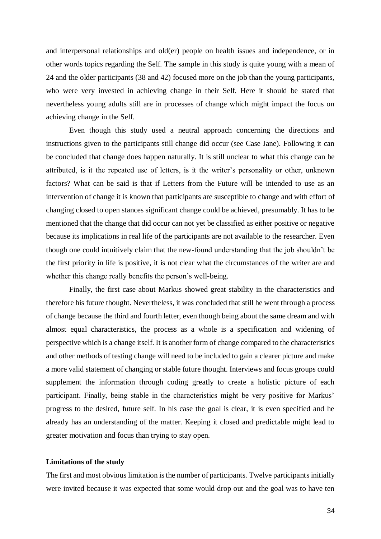and interpersonal relationships and old(er) people on health issues and independence, or in other words topics regarding the Self. The sample in this study is quite young with a mean of 24 and the older participants (38 and 42) focused more on the job than the young participants, who were very invested in achieving change in their Self. Here it should be stated that nevertheless young adults still are in processes of change which might impact the focus on achieving change in the Self.

Even though this study used a neutral approach concerning the directions and instructions given to the participants still change did occur (see Case Jane). Following it can be concluded that change does happen naturally. It is still unclear to what this change can be attributed, is it the repeated use of letters, is it the writer's personality or other, unknown factors? What can be said is that if Letters from the Future will be intended to use as an intervention of change it is known that participants are susceptible to change and with effort of changing closed to open stances significant change could be achieved, presumably. It has to be mentioned that the change that did occur can not yet be classified as either positive or negative because its implications in real life of the participants are not available to the researcher. Even though one could intuitively claim that the new-found understanding that the job shouldn't be the first priority in life is positive, it is not clear what the circumstances of the writer are and whether this change really benefits the person's well-being.

Finally, the first case about Markus showed great stability in the characteristics and therefore his future thought. Nevertheless, it was concluded that still he went through a process of change because the third and fourth letter, even though being about the same dream and with almost equal characteristics, the process as a whole is a specification and widening of perspective which is a change itself. It is another form of change compared to the characteristics and other methods of testing change will need to be included to gain a clearer picture and make a more valid statement of changing or stable future thought. Interviews and focus groups could supplement the information through coding greatly to create a holistic picture of each participant. Finally, being stable in the characteristics might be very positive for Markus' progress to the desired, future self. In his case the goal is clear, it is even specified and he already has an understanding of the matter. Keeping it closed and predictable might lead to greater motivation and focus than trying to stay open.

#### **Limitations of the study**

The first and most obvious limitation is the number of participants. Twelve participants initially were invited because it was expected that some would drop out and the goal was to have ten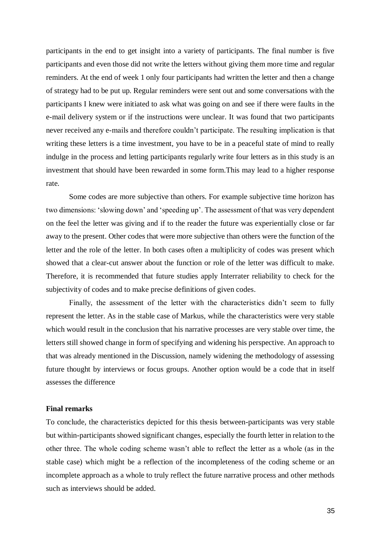participants in the end to get insight into a variety of participants. The final number is five participants and even those did not write the letters without giving them more time and regular reminders. At the end of week 1 only four participants had written the letter and then a change of strategy had to be put up. Regular reminders were sent out and some conversations with the participants I knew were initiated to ask what was going on and see if there were faults in the e-mail delivery system or if the instructions were unclear. It was found that two participants never received any e-mails and therefore couldn't participate. The resulting implication is that writing these letters is a time investment, you have to be in a peaceful state of mind to really indulge in the process and letting participants regularly write four letters as in this study is an investment that should have been rewarded in some form.This may lead to a higher response rate.

Some codes are more subjective than others. For example subjective time horizon has two dimensions: 'slowing down' and 'speeding up'. The assessment of that was very dependent on the feel the letter was giving and if to the reader the future was experientially close or far away to the present. Other codes that were more subjective than others were the function of the letter and the role of the letter. In both cases often a multiplicity of codes was present which showed that a clear-cut answer about the function or role of the letter was difficult to make. Therefore, it is recommended that future studies apply Interrater reliability to check for the subjectivity of codes and to make precise definitions of given codes.

Finally, the assessment of the letter with the characteristics didn't seem to fully represent the letter. As in the stable case of Markus, while the characteristics were very stable which would result in the conclusion that his narrative processes are very stable over time, the letters still showed change in form of specifying and widening his perspective. An approach to that was already mentioned in the Discussion, namely widening the methodology of assessing future thought by interviews or focus groups. Another option would be a code that in itself assesses the difference

#### **Final remarks**

To conclude, the characteristics depicted for this thesis between-participants was very stable but within-participants showed significant changes, especially the fourth letter in relation to the other three. The whole coding scheme wasn't able to reflect the letter as a whole (as in the stable case) which might be a reflection of the incompleteness of the coding scheme or an incomplete approach as a whole to truly reflect the future narrative process and other methods such as interviews should be added.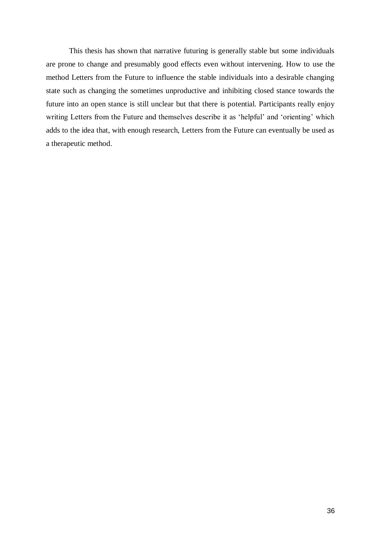This thesis has shown that narrative futuring is generally stable but some individuals are prone to change and presumably good effects even without intervening. How to use the method Letters from the Future to influence the stable individuals into a desirable changing state such as changing the sometimes unproductive and inhibiting closed stance towards the future into an open stance is still unclear but that there is potential. Participants really enjoy writing Letters from the Future and themselves describe it as 'helpful' and 'orienting' which adds to the idea that, with enough research, Letters from the Future can eventually be used as a therapeutic method.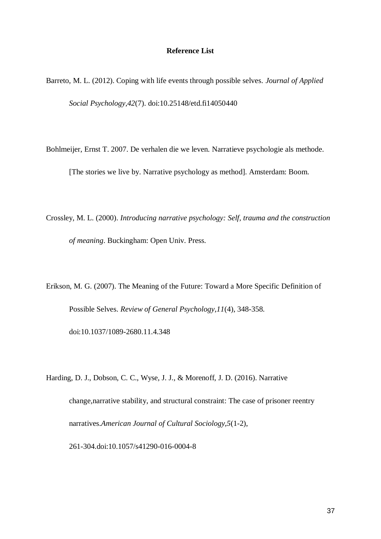#### **Reference List**

Barreto, M. L. (2012). Coping with life events through possible selves. *Journal of Applied Social Psychology,42*(7). doi:10.25148/etd.fi14050440

Bohlmeijer, Ernst T. 2007. De verhalen die we leven. Narratieve psychologie als methode.

[The stories we live by. Narrative psychology as method]. Amsterdam: Boom.

Crossley, M. L. (2000). *Introducing narrative psychology: Self, trauma and the construction of meaning*. Buckingham: Open Univ. Press.

Erikson, M. G. (2007). The Meaning of the Future: Toward a More Specific Definition of Possible Selves. *Review of General Psychology,11*(4), 348-358. doi:10.1037/1089-2680.11.4.348

Harding, D. J., Dobson, C. C., Wyse, J. J., & Morenoff, J. D. (2016). Narrative change,narrative stability, and structural constraint: The case of prisoner reentry narratives.*American Journal of Cultural Sociology,5*(1-2), 261-304.doi:10.1057/s41290-016-0004-8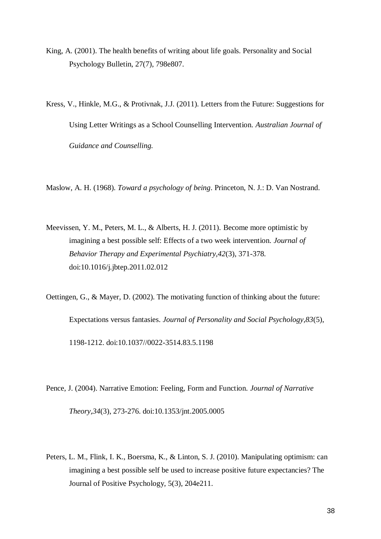- King, A. (2001). The health benefits of writing about life goals. Personality and Social Psychology Bulletin, 27(7), 798e807.
- Kress, V., Hinkle, M.G., & Protivnak, J.J. (2011). Letters from the Future: Suggestions for Using Letter Writings as a School Counselling Intervention. *Australian Journal of Guidance and Counselling.*

Maslow, A. H. (1968). *Toward a psychology of being*. Princeton, N. J.: D. Van Nostrand.

Meevissen, Y. M., Peters, M. L., & Alberts, H. J. (2011). Become more optimistic by imagining a best possible self: Effects of a two week intervention. *Journal of Behavior Therapy and Experimental Psychiatry,42*(3), 371-378. doi:10.1016/j.jbtep.2011.02.012

Oettingen, G., & Mayer, D. (2002). The motivating function of thinking about the future: Expectations versus fantasies. *Journal of Personality and Social Psychology,83*(5), 1198-1212. doi:10.1037//0022-3514.83.5.1198

- Pence, J. (2004). Narrative Emotion: Feeling, Form and Function. *Journal of Narrative Theory,34*(3), 273-276. doi:10.1353/jnt.2005.0005
- Peters, L. M., Flink, I. K., Boersma, K., & Linton, S. J. (2010). Manipulating optimism: can imagining a best possible self be used to increase positive future expectancies? The Journal of Positive Psychology, 5(3), 204e211.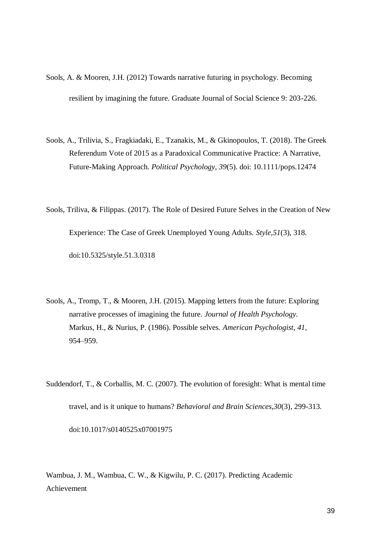- Sools, A. & Mooren, J.H. (2012) Towards narrative futuring in psychology. Becoming resilient by imagining the future. Graduate Journal of Social Science 9: 203-226.
- Sools, A., Trilivia, S., Fragkiadaki, E., Tzanakis, M., & Gkinopoulos, T. (2018). The Greek Referendum Vote of 2015 as a Paradoxical Communicative Practice: A Narrative, Future-Making Approach. *Political Psychology, 39*(5). doi: 10.1111/pops.12474
- Sools, Triliva, & Filippas. (2017). The Role of Desired Future Selves in the Creation of New Experience: The Case of Greek Unemployed Young Adults. *Style,51*(3), 318. doi:10.5325/style.51.3.0318
- Sools, A., Tromp, T., & Mooren, J.H. (2015). Mapping letters from the future: Exploring narrative processes of imagining the future. *Journal of Health Psychology.* Markus, H., & Nurius, P. (1986). Possible selves. *American Psychologist, 41,* 954–959.
- Suddendorf, T., & Corballis, M. C. (2007). The evolution of foresight: What is mental time travel, and is it unique to humans? *Behavioral and Brain Sciences,30*(3), 299-313. doi:10.1017/s0140525x07001975

Wambua, J. M., Wambua, C. W., & Kigwilu, P. C. (2017). Predicting Academic Achievement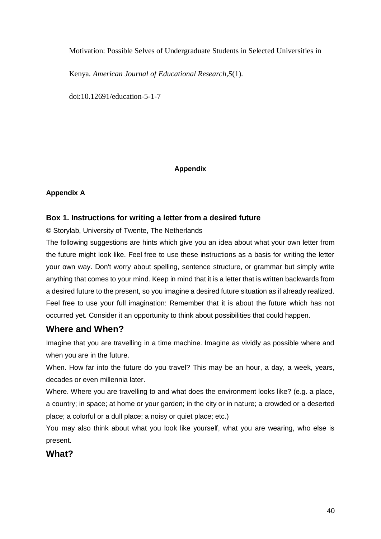Motivation: Possible Selves of Undergraduate Students in Selected Universities in

Kenya. *American Journal of Educational Research,5*(1).

doi:10.12691/education-5-1-7

# **Appendix**

# **Appendix A**

# **Box 1. Instructions for writing a letter from a desired future**

© Storylab, University of Twente, The Netherlands

The following suggestions are hints which give you an idea about what your own letter from the future might look like. Feel free to use these instructions as a basis for writing the letter your own way. Don't worry about spelling, sentence structure, or grammar but simply write anything that comes to your mind. Keep in mind that it is a letter that is written backwards from a desired future to the present, so you imagine a desired future situation as if already realized. Feel free to use your full imagination: Remember that it is about the future which has not occurred yet. Consider it an opportunity to think about possibilities that could happen.

# **Where and When?**

Imagine that you are travelling in a time machine. Imagine as vividly as possible where and when you are in the future.

When. How far into the future do you travel? This may be an hour, a day, a week, years, decades or even millennia later.

Where. Where you are travelling to and what does the environment looks like? (e.g. a place, a country; in space; at home or your garden; in the city or in nature; a crowded or a deserted place; a colorful or a dull place; a noisy or quiet place; etc.)

You may also think about what you look like yourself, what you are wearing, who else is present.

# **What?**